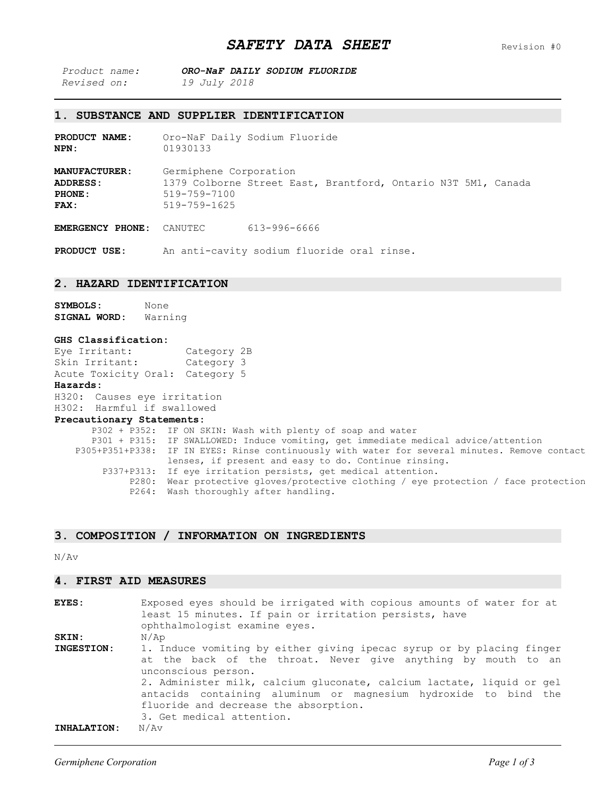| Product name: |                     | ORO-NaF DAILY SODIUM FLUORIDE |  |
|---------------|---------------------|-------------------------------|--|
| Revised on:   | <i>19 July 2018</i> |                               |  |

## **1. SUBSTANCE AND SUPPLIER IDENTIFICATION**

**PRODUCT NAME:** Oro-NaF Daily Sodium Fluoride **NPN:** 01930133

**MANUFACTURER:** Germiphene Corporation<br>**ADDRESS:** 1379 Colborne Street Ea **ADDRESS:** 1379 Colborne Street East, Brantford, Ontario N3T 5M1, Canada **PHONE:** 519-759-7100<br>**FAX:** 519-759-1625 **FAX:** 519-759-1625

**EMERGENCY PHONE:** CANUTEC 613-996-6666

**PRODUCT USE:** An anti-cavity sodium fluoride oral rinse.

## **2. HAZARD IDENTIFICATION**

**SYMBOLS:** None **SIGNAL WORD:** Warning

#### **GHS Classification:**

| <b>Hazards:</b>                 |             |  |
|---------------------------------|-------------|--|
| Acute Toxicity Oral: Category 5 |             |  |
| Skin Irritant:                  | Category 3  |  |
| Eve Irritant:                   | Category 2B |  |

H320: Causes eye irritation

# H302: Harmful if swallowed

## **Precautionary Statements:**

| P302 + P352: IF ON SKIN: Wash with plenty of soap and water                                   |
|-----------------------------------------------------------------------------------------------|
| P301 + P315: IF SWALLOWED: Induce vomiting, get immediate medical advice/attention            |
| P305+P351+P338: IF IN EYES: Rinse continuously with water for several minutes. Remove contact |
| lenses, if present and easy to do. Continue rinsing.                                          |
| P337+P313: If eye irritation persists, get medical attention.                                 |
| P280: Wear protective gloves/protective clothing / eye protection / face protection           |
| P264: Wash thoroughly after handling.                                                         |
|                                                                                               |

## **3. COMPOSITION / INFORMATION ON INGREDIENTS**

N/Av

## **4. FIRST AID MEASURES**

| <b>EYES:</b>       | Exposed eyes should be irrigated with copious amounts of water for at |
|--------------------|-----------------------------------------------------------------------|
|                    | least 15 minutes. If pain or irritation persists, have                |
|                    | ophthalmologist examine eyes.                                         |
| <b>SKIN:</b>       | N/Ap                                                                  |
| INGESTION:         | 1. Induce vomiting by either giving ipecac syrup or by placing finger |
|                    | at the back of the throat. Never give anything by mouth to an         |
|                    | unconscious person.                                                   |
|                    | 2. Administer milk, calcium gluconate, calcium lactate, liquid or gel |
|                    | antacids containing aluminum or magnesium hydroxide to bind the       |
|                    | fluoride and decrease the absorption.                                 |
|                    | 3. Get medical attention.                                             |
| <b>INHALATION:</b> | N/Av                                                                  |
|                    |                                                                       |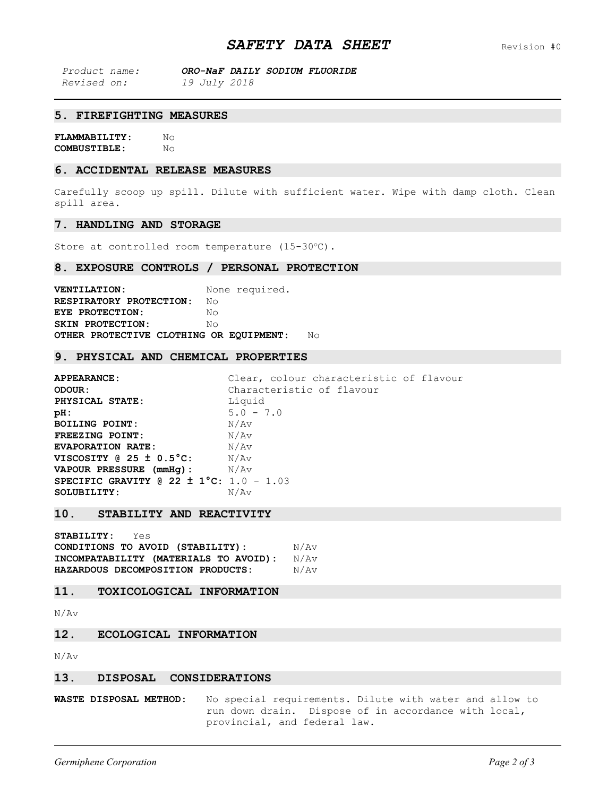| Product name:      |                     |  | ORO-NaF DAILY SODIUM FLUORIDE |
|--------------------|---------------------|--|-------------------------------|
| <i>Revised on:</i> | <i>19 July 2018</i> |  |                               |

## **5. FIREFIGHTING MEASURES**

**FLAMMABILITY:** No<br>**COMBUSTIBLE:** No COMBUSTIBLE:

#### **6. ACCIDENTAL RELEASE MEASURES**

Carefully scoop up spill. Dilute with sufficient water. Wipe with damp cloth. Clean spill area.

#### **7. HANDLING AND STORAGE**

Store at controlled room temperature (15-30°C).

#### **8. EXPOSURE CONTROLS / PERSONAL PROTECTION**

**VENTILATION:** None required. **RESPIRATORY PROTECTION:** No **EYE PROTECTION:** No **SKIN PROTECTION:** No **OTHER PROTECTIVE CLOTHING OR EQUIPMENT:** No

#### **9. PHYSICAL AND CHEMICAL PROPERTIES**

**APPEARANCE:** Clear, colour characteristic of flavour<br> **Characteristic of flavour**<br>
Characteristic of flavour Characteristic of flavour<br>Liquid **PHYSICAL STATE:**<br>pH: **5.0 - 7.0**<br>N/Av **BOILING POINT:** N/Av<br> **FREEZING POINT:** N/Av **FREEZING POINT:**<br>EVAPORATION RATE: **EVAPORATION RATE:**  $N/A_V$ **VISCOSITY @ 25 ± 0.5°C:** N/Av **VAPOUR PRESSURE (mmHg):** N/Av **SPECIFIC GRAVITY @ 22 ± 1°C:** 1.0 - 1.03 SOLUBILITY:

## **10. STABILITY AND REACTIVITY**

**STABILITY:** Yes **CONDITIONS TO AVOID (STABILITY):** N/Av **INCOMPATABILITY (MATERIALS TO AVOID):** N/Av **HAZARDOUS DECOMPOSITION PRODUCTS:** 

## **11. TOXICOLOGICAL INFORMATION**

N/Av

## **12. ECOLOGICAL INFORMATION**

N/Av

## **13. DISPOSAL CONSIDERATIONS**

**WASTE DISPOSAL METHOD:** No special requirements. Dilute with water and allow to run down drain. Dispose of in accordance with local, provincial, and federal law.